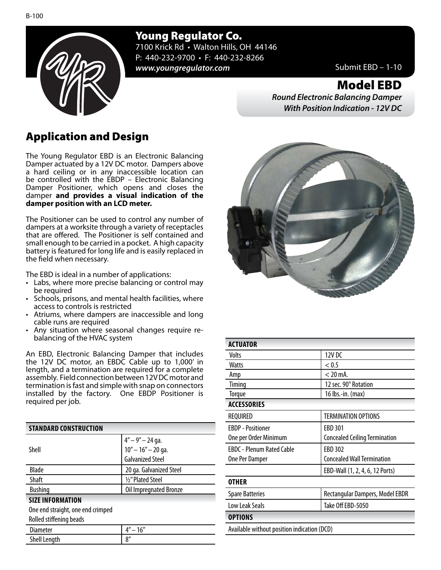Young Regulator Co.

7100 Krick Rd • Walton Hills, OH 44146 P: 440-232-9700 • F: 440-232-8266 *www.youngregulator.com* Submit EBD – 1-10

Model EBD

*Round Electronic Balancing Damper With Position Indication - 12V DC*

## Application and Design

The Young Regulator EBD is an Electronic Balancing Damper actuated by a 12V DC motor. Dampers above a hard ceiling or in any inaccessible location can be controlled with the EBDP – Electronic Balancing Damper Positioner, which opens and closes the damper **and provides a visual indication of the damper position with an LCD meter.**

The Positioner can be used to control any number of dampers at a worksite through a variety of receptacles that are offered. The Positioner is self contained and small enough to be carried in a pocket. A high capacity battery is featured for long life and is easily replaced in the field when necessary.

The EBD is ideal in a number of applications:

- Labs, where more precise balancing or control may be required
- Schools, prisons, and mental health facilities, where access to controls is restricted
- Atriums, where dampers are inaccessible and long cable runs are required<br>Any situation where seasonal changes require re-
- balancing of the HVAC system

An EBD, Electronic Balancing Damper that includes the 12V DC motor, an EBDC Cable up to 1,000' in length, and a termination are required for a complete assembly. Field connection between 12V DC motor and termination is fast and simple with snap on connectors installed by the factory. One EBDP Positioner is required per job.

| <b>STANDARD CONSTRUCTION</b>      |                                            |
|-----------------------------------|--------------------------------------------|
|                                   |                                            |
| Shell                             | $4'' - 9'' - 24$ ga.<br>10" - 16" - 20 ga. |
|                                   | <b>Galvanized Steel</b>                    |
| <b>Blade</b>                      | 20 ga. Galvanized Steel                    |
| Shaft                             | 1/2" Plated Steel                          |
| <b>Bushing</b>                    | Oil Impregnated Bronze                     |
| <b>SIZE INFORMATION</b>           |                                            |
| One end straight, one end crimped |                                            |
| Rolled stiffening beads           |                                            |
| Diameter                          | $4'' - 16''$                               |
| <b>Shell Length</b>               | 8''                                        |



| <b>ACTUATOR</b>                             |                                      |
|---------------------------------------------|--------------------------------------|
| Volts                                       | 12V DC                               |
| Watts                                       | < 0.5                                |
| Amp                                         | $<$ 20 mA.                           |
| Timing                                      | 12 sec. 90° Rotation                 |
| <b>Torque</b>                               | 16 lbs.-in. (max)                    |
| <b>ACCESSORIES</b>                          |                                      |
| REQUIRED                                    | <b>TERMINATION OPTIONS</b>           |
| <b>FBDP</b> - Positioner                    | <b>FBD 301</b>                       |
| One per Order Minimum                       | <b>Concealed Ceiling Termination</b> |
| <b>FBDC</b> - Plenum Rated Cable            | <b>EBD 302</b>                       |
| One Per Damper                              | <b>Concealed Wall Termination</b>    |
|                                             | EBD-Wall (1, 2, 4, 6, 12 Ports)      |
| <b>OTHER</b>                                |                                      |
| <b>Spare Batteries</b>                      | Rectangular Dampers, Model EBDR      |
| Low Leak Seals                              | Take Off EBD-5050                    |
| <b>OPTIONS</b>                              |                                      |
| Available without position indication (DCD) |                                      |
|                                             |                                      |